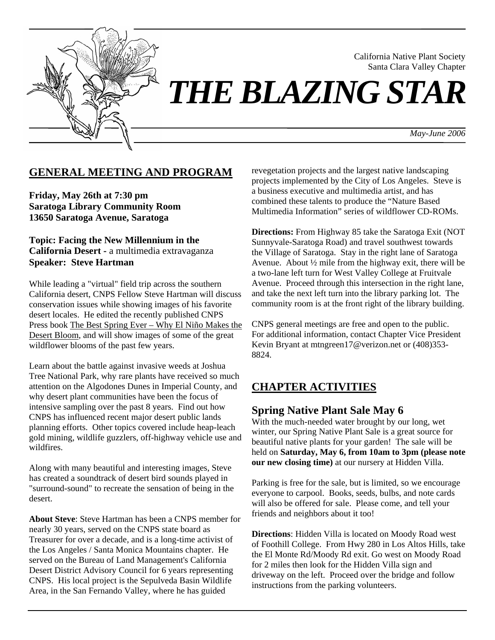

California Native Plant Society Santa Clara Valley Chapter

# *THE BLAZING STAR*

*May-June 2006*

# **GENERAL MEETING AND PROGRAM**

**Friday, May 26th at 7:30 pm Saratoga Library Community Room 13650 Saratoga Avenue, Saratoga** 

**Topic: Facing the New Millennium in the California Desert -** a multimedia extravaganza **Speaker: Steve Hartman** 

While leading a "virtual" field trip across the southern California desert, CNPS Fellow Steve Hartman will discuss conservation issues while showing images of his favorite desert locales. He edited the recently published CNPS Press book The Best Spring Ever – Why El Niño Makes the Desert Bloom, and will show images of some of the great wildflower blooms of the past few years.

Learn about the battle against invasive weeds at Joshua Tree National Park, why rare plants have received so much attention on the Algodones Dunes in Imperial County, and why desert plant communities have been the focus of intensive sampling over the past 8 years. Find out how CNPS has influenced recent major desert public lands planning efforts. Other topics covered include heap-leach gold mining, wildlife guzzlers, off-highway vehicle use and wildfires.

Along with many beautiful and interesting images, Steve has created a soundtrack of desert bird sounds played in "surround-sound" to recreate the sensation of being in the desert.

**About Steve**: Steve Hartman has been a CNPS member for nearly 30 years, served on the CNPS state board as Treasurer for over a decade, and is a long-time activist of the Los Angeles / Santa Monica Mountains chapter. He served on the Bureau of Land Management's California Desert District Advisory Council for 6 years representing CNPS. His local project is the Sepulveda Basin Wildlife Area, in the San Fernando Valley, where he has guided

revegetation projects and the largest native landscaping projects implemented by the City of Los Angeles. Steve is a business executive and multimedia artist, and has combined these talents to produce the "Nature Based Multimedia Information" series of wildflower CD-ROMs.

**Directions:** From Highway 85 take the Saratoga Exit (NOT Sunnyvale-Saratoga Road) and travel southwest towards the Village of Saratoga. Stay in the right lane of Saratoga Avenue. About ½ mile from the highway exit, there will be a two-lane left turn for West Valley College at Fruitvale Avenue. Proceed through this intersection in the right lane, and take the next left turn into the library parking lot. The community room is at the front right of the library building.

CNPS general meetings are free and open to the public. For additional information, contact Chapter Vice President Kevin Bryant at mtngreen17@verizon.net or (408)353- 8824.

# **CHAPTER ACTIVITIES**

# **Spring Native Plant Sale May 6**

With the much-needed water brought by our long, wet winter, our Spring Native Plant Sale is a great source for beautiful native plants for your garden! The sale will be held on **Saturday, May 6, from 10am to 3pm (please note our new closing time)** at our nursery at Hidden Villa.

Parking is free for the sale, but is limited, so we encourage everyone to carpool. Books, seeds, bulbs, and note cards will also be offered for sale. Please come, and tell your friends and neighbors about it too!

**Directions**: Hidden Villa is located on Moody Road west of Foothill College. From Hwy 280 in Los Altos Hills, take the El Monte Rd/Moody Rd exit. Go west on Moody Road for 2 miles then look for the Hidden Villa sign and driveway on the left. Proceed over the bridge and follow instructions from the parking volunteers.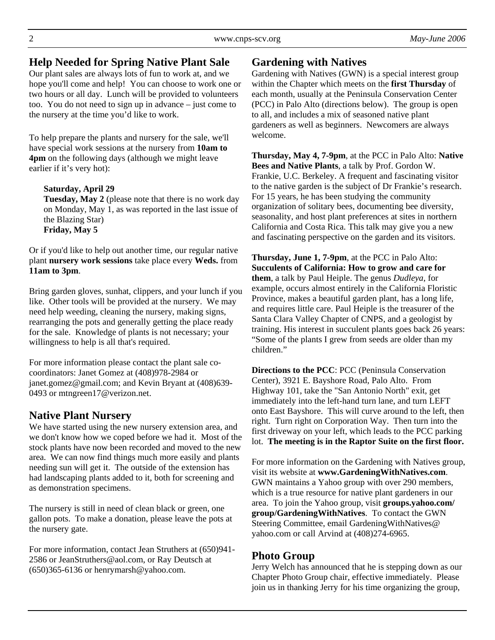# **Help Needed for Spring Native Plant Sale**

Our plant sales are always lots of fun to work at, and we hope you'll come and help! You can choose to work one or two hours or all day. Lunch will be provided to volunteers too. You do not need to sign up in advance – just come to the nursery at the time you'd like to work.

To help prepare the plants and nursery for the sale, we'll have special work sessions at the nursery from **10am to 4pm** on the following days (although we might leave earlier if it's very hot):

#### **Saturday, April 29**

**Tuesday, May 2** (please note that there is no work day on Monday, May 1, as was reported in the last issue of the Blazing Star) **Friday, May 5** 

Or if you'd like to help out another time, our regular native plant **nursery work sessions** take place every **Weds.** from **11am to 3pm**.

Bring garden gloves, sunhat, clippers, and your lunch if you like. Other tools will be provided at the nursery. We may need help weeding, cleaning the nursery, making signs, rearranging the pots and generally getting the place ready for the sale. Knowledge of plants is not necessary; your willingness to help is all that's required.

For more information please contact the plant sale cocoordinators: Janet Gomez at (408)978-2984 or janet.gomez@gmail.com; and Kevin Bryant at (408)639- 0493 or mtngreen17@verizon.net.

# **Native Plant Nursery**

We have started using the new nursery extension area, and we don't know how we coped before we had it. Most of the stock plants have now been recorded and moved to the new area. We can now find things much more easily and plants needing sun will get it. The outside of the extension has had landscaping plants added to it, both for screening and as demonstration specimens.

The nursery is still in need of clean black or green, one gallon pots. To make a donation, please leave the pots at the nursery gate.

For more information, contact Jean Struthers at (650)941- 2586 or JeanStruthers@aol.com, or Ray Deutsch at (650)365-6136 or henrymarsh@yahoo.com.

# **Gardening with Natives**

Gardening with Natives (GWN) is a special interest group within the Chapter which meets on the **first Thursday** of each month, usually at the Peninsula Conservation Center (PCC) in Palo Alto (directions below). The group is open to all, and includes a mix of seasoned native plant gardeners as well as beginners. Newcomers are always welcome.

**Thursday, May 4, 7-9pm**, at the PCC in Palo Alto: **Native Bees and Native Plants**, a talk by Prof. Gordon W. Frankie, U.C. Berkeley. A frequent and fascinating visitor to the native garden is the subject of Dr Frankie's research. For 15 years, he has been studying the community organization of solitary bees, documenting bee diversity, seasonality, and host plant preferences at sites in northern California and Costa Rica. This talk may give you a new and fascinating perspective on the garden and its visitors.

**Thursday, June 1, 7-9pm**, at the PCC in Palo Alto: **Succulents of California: How to grow and care for them**, a talk by Paul Heiple. The genus *Dudleya*, for example, occurs almost entirely in the California Floristic Province, makes a beautiful garden plant, has a long life, and requires little care. Paul Heiple is the treasurer of the Santa Clara Valley Chapter of CNPS, and a geologist by training. His interest in succulent plants goes back 26 years: "Some of the plants I grew from seeds are older than my children."

**Directions to the PCC**: PCC (Peninsula Conservation Center), 3921 E. Bayshore Road, Palo Alto. From Highway 101, take the "San Antonio North" exit, get immediately into the left-hand turn lane, and turn LEFT onto East Bayshore. This will curve around to the left, then right. Turn right on Corporation Way. Then turn into the first driveway on your left, which leads to the PCC parking lot. **The meeting is in the Raptor Suite on the first floor.** 

For more information on the Gardening with Natives group, visit its website at **www.GardeningWithNatives.com**. GWN maintains a Yahoo group with over 290 members, which is a true resource for native plant gardeners in our area. To join the Yahoo group, visit **groups.yahoo.com/ group/GardeningWithNatives**. To contact the GWN Steering Committee, email GardeningWithNatives@ yahoo.com or call Arvind at (408)274-6965.

# **Photo Group**

Jerry Welch has announced that he is stepping down as our Chapter Photo Group chair, effective immediately. Please join us in thanking Jerry for his time organizing the group,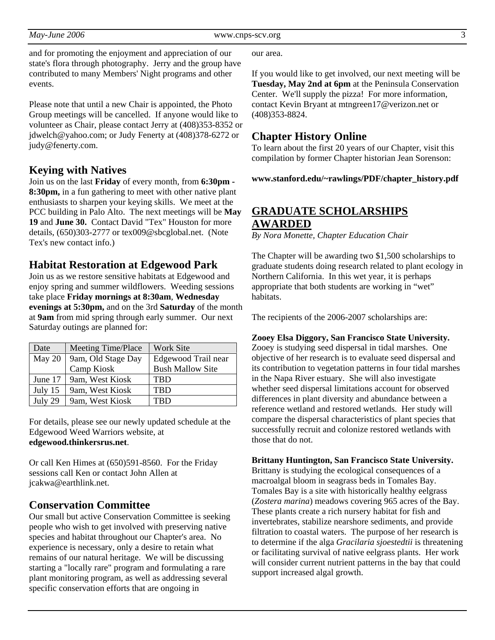and for promoting the enjoyment and appreciation of our state's flora through photography. Jerry and the group have contributed to many Members' Night programs and other events.

Please note that until a new Chair is appointed, the Photo Group meetings will be cancelled. If anyone would like to volunteer as Chair, please contact Jerry at (408)353-8352 or jdwelch@yahoo.com; or Judy Fenerty at (408)378-6272 or judy@fenerty.com.

## **Keying with Natives**

Join us on the last **Friday** of every month, from **6:30pm - 8:30pm,** in a fun gathering to meet with other native plant enthusiasts to sharpen your keying skills. We meet at the PCC building in Palo Alto. The next meetings will be **May 19** and **June 30.** Contact David "Tex" Houston for more details, (650)303-2777 or tex009@sbcglobal.net. (Note Tex's new contact info.)

## **Habitat Restoration at Edgewood Park**

Join us as we restore sensitive habitats at Edgewood and enjoy spring and summer wildflowers. Weeding sessions take place **Friday mornings at 8:30am**, **Wednesday evenings at 5:30pm,** and on the 3rd **Saturday** of the month at **9am** from mid spring through early summer. Our next Saturday outings are planned for:

| Date      | <b>Meeting Time/Place</b> | <b>Work Site</b>        |
|-----------|---------------------------|-------------------------|
| May 20    | 9am, Old Stage Day        | Edgewood Trail near     |
|           | Camp Kiosk                | <b>Bush Mallow Site</b> |
| June 17   | 9am, West Kiosk           | TBD                     |
| July $15$ | 9am, West Kiosk           | <b>TBD</b>              |
| July 29   | 9am, West Kiosk           | TRD                     |

For details, please see our newly updated schedule at the Edgewood Weed Warriors website, at **edgewood.thinkersrus.net**.

Or call Ken Himes at (650)591-8560. For the Friday sessions call Ken or contact John Allen at jcakwa@earthlink.net.

# **Conservation Committee**

Our small but active Conservation Committee is seeking people who wish to get involved with preserving native species and habitat throughout our Chapter's area. No experience is necessary, only a desire to retain what remains of our natural heritage. We will be discussing starting a "locally rare" program and formulating a rare plant monitoring program, as well as addressing several specific conservation efforts that are ongoing in

our area.

If you would like to get involved, our next meeting will be **Tuesday, May 2nd at 6pm** at the Peninsula Conservation Center. We'll supply the pizza! For more information, contact Kevin Bryant at mtngreen17@verizon.net or (408)353-8824.

## **Chapter History Online**

To learn about the first 20 years of our Chapter, visit this compilation by former Chapter historian Jean Sorenson:

#### **www.stanford.edu/~rawlings/PDF/chapter\_history.pdf**

# **GRADUATE SCHOLARSHIPS AWARDED**

*By Nora Monette, Chapter Education Chair* 

The Chapter will be awarding two \$1,500 scholarships to graduate students doing research related to plant ecology in Northern California. In this wet year, it is perhaps appropriate that both students are working in "wet" habitats.

The recipients of the 2006-2007 scholarships are:

#### **Zooey Elsa Diggory, San Francisco State University.**

Zooey is studying seed dispersal in tidal marshes. One objective of her research is to evaluate seed dispersal and its contribution to vegetation patterns in four tidal marshes in the Napa River estuary. She will also investigate whether seed dispersal limitations account for observed differences in plant diversity and abundance between a reference wetland and restored wetlands. Her study will compare the dispersal characteristics of plant species that successfully recruit and colonize restored wetlands with those that do not.

#### **Brittany Huntington, San Francisco State University.**

Brittany is studying the ecological consequences of a macroalgal bloom in seagrass beds in Tomales Bay. Tomales Bay is a site with historically healthy eelgrass (*Zostera marina*) meadows covering 965 acres of the Bay. These plants create a rich nursery habitat for fish and invertebrates, stabilize nearshore sediments, and provide filtration to coastal waters. The purpose of her research is to determine if the alga *Gracilaria sjoestedtii* is threatening or facilitating survival of native eelgrass plants. Her work will consider current nutrient patterns in the bay that could support increased algal growth.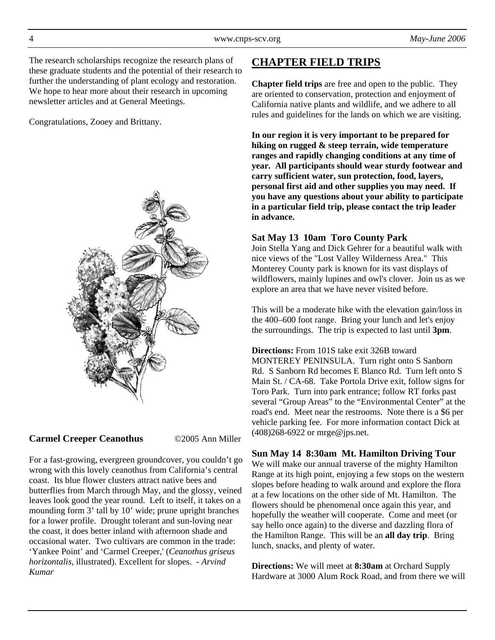The research scholarships recognize the research plans of these graduate students and the potential of their research to further the understanding of plant ecology and restoration. We hope to hear more about their research in upcoming newsletter articles and at General Meetings.

Congratulations, Zooey and Brittany.



**Carmel Creeper Ceanothus** ©2005 Ann Miller

For a fast-growing, evergreen groundcover, you couldn't go wrong with this lovely ceanothus from California's central coast. Its blue flower clusters attract native bees and butterflies from March through May, and the glossy, veined leaves look good the year round. Left to itself, it takes on a mounding form 3' tall by 10' wide; prune upright branches for a lower profile. Drought tolerant and sun-loving near the coast, it does better inland with afternoon shade and occasional water. Two cultivars are common in the trade: 'Yankee Point' and 'Carmel Creeper,' (*Ceanothus griseus horizontalis*, illustrated). Excellent for slopes. - *Arvind Kumar* 

# **CHAPTER FIELD TRIPS**

**Chapter field trips** are free and open to the public. They are oriented to conservation, protection and enjoyment of California native plants and wildlife, and we adhere to all rules and guidelines for the lands on which we are visiting.

**In our region it is very important to be prepared for hiking on rugged & steep terrain, wide temperature ranges and rapidly changing conditions at any time of year. All participants should wear sturdy footwear and carry sufficient water, sun protection, food, layers, personal first aid and other supplies you may need. If you have any questions about your ability to participate in a particular field trip, please contact the trip leader in advance.** 

## **Sat May 13 10am Toro County Park**

Join Stella Yang and Dick Gehrer for a beautiful walk with nice views of the "Lost Valley Wilderness Area." This Monterey County park is known for its vast displays of wildflowers, mainly lupines and owl's clover. Join us as we explore an area that we have never visited before.

This will be a moderate hike with the elevation gain/loss in the 400–600 foot range. Bring your lunch and let's enjoy the surroundings. The trip is expected to last until **3pm**.

**Directions:** From 101S take exit 326B toward MONTEREY PENINSULA. Turn right onto S Sanborn Rd. S Sanborn Rd becomes E Blanco Rd. Turn left onto S Main St. / CA-68. Take Portola Drive exit, follow signs for Toro Park. Turn into park entrance; follow RT forks past several "Group Areas" to the "Environmental Center" at the road's end. Meet near the restrooms. Note there is a \$6 per vehicle parking fee. For more information contact Dick at (408)268-6922 or mrge@jps.net.

## **Sun May 14 8:30am Mt. Hamilton Driving Tour**

We will make our annual traverse of the mighty Hamilton Range at its high point, enjoying a few stops on the western slopes before heading to walk around and explore the flora at a few locations on the other side of Mt. Hamilton. The flowers should be phenomenal once again this year, and hopefully the weather will cooperate. Come and meet (or say hello once again) to the diverse and dazzling flora of the Hamilton Range. This will be an **all day trip**. Bring lunch, snacks, and plenty of water.

**Directions:** We will meet at **8:30am** at Orchard Supply Hardware at 3000 Alum Rock Road, and from there we will